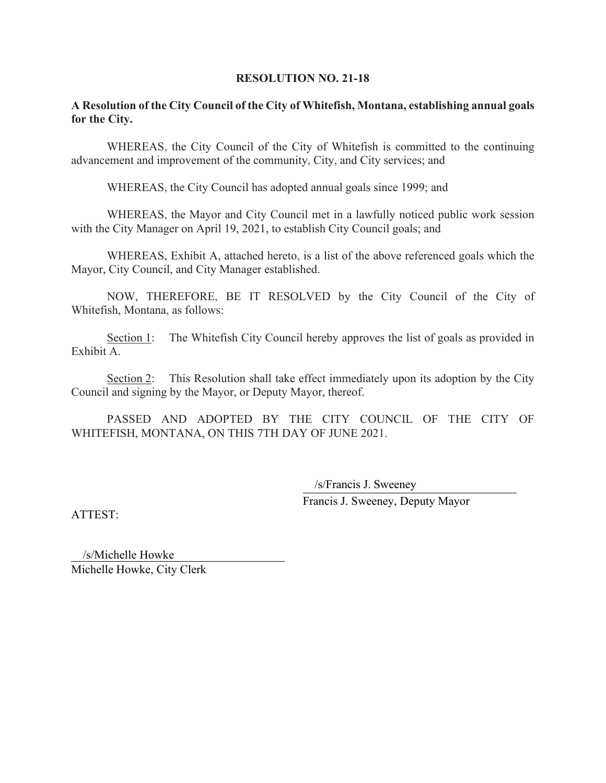## **RESOLUTION NO. 21-18**

## **A Resolution of the City Council of the City of Whitefish, Montana, establishing annual goals for the City.**

WHEREAS, the City Council of the City of Whitefish is committed to the continuing advancement and improvement of the community, City, and City services; and

WHEREAS, the City Council has adopted annual goals since 1999; and

WHEREAS, the Mayor and City Council met in a lawfully noticed public work session with the City Manager on April 19, 2021, to establish City Council goals; and

WHEREAS, Exhibit A, attached hereto, is a list of the above referenced goals which the Mayor, City Council, and City Manager established.

NOW, THEREFORE, BE IT RESOLVED by the City Council of the City of Whitefish, Montana, as follows:

Section 1: The Whitefish City Council hereby approves the list of goals as provided in Exhibit A.

Section 2: This Resolution shall take effect immediately upon its adoption by the City Council and signing by the Mayor, or Deputy Mayor, thereof.

PASSED AND ADOPTED BY THE CITY COUNCIL OF THE CITY OF WHITEFISH, MONTANA, ON THIS 7TH DAY OF JUNE 2021.

> Francis J. Sweeney, Deputy Mayor /s/Francis J. Sweeney

ATTEST:

Michelle Howke, City Clerk /s/Michelle Howke